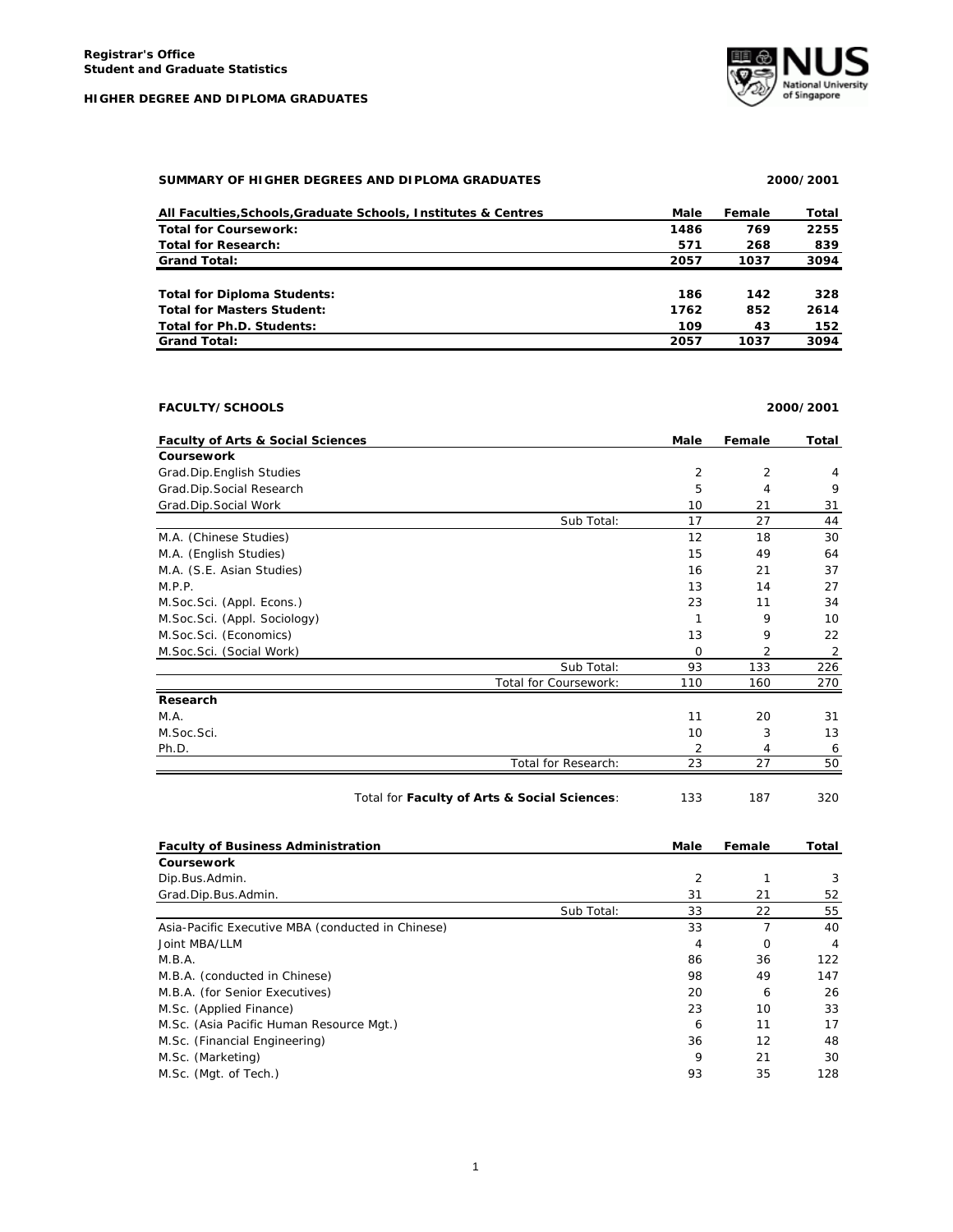**HIGHER DEGREE AND DIPLOMA GRADUATES**



# **SUMMARY OF HIGHER DEGREES AND DIPLOMA GRADUATES 2000/2001**

| All Faculties, Schools, Graduate Schools, Institutes & Centres | Male | Female | Total |
|----------------------------------------------------------------|------|--------|-------|
| <b>Total for Coursework:</b>                                   | 1486 | 769    | 2255  |
| <b>Total for Research:</b>                                     | 571  | 268    | 839   |
| <b>Grand Total:</b>                                            | 2057 | 1037   | 3094  |
|                                                                |      |        |       |
| <b>Total for Diploma Students:</b>                             | 186  | 142    | 328   |
| <b>Total for Masters Student:</b>                              | 1762 | 852    | 2614  |
| Total for Ph.D. Students:                                      | 109  | 43     | 152   |
| <b>Grand Total:</b>                                            | 2057 | 1037   | 3094  |

# **FACULTY/SCHOOLS 2000/2001**

| <b>Faculty of Arts &amp; Social Sciences</b> |                       | Male    | Female         | Total          |
|----------------------------------------------|-----------------------|---------|----------------|----------------|
| <b>Coursework</b>                            |                       |         |                |                |
| Grad.Dip.English Studies                     |                       | 2       | $\overline{2}$ | 4              |
| Grad.Dip.Social Research                     |                       | 5       | 4              | 9              |
| Grad.Dip.Social Work                         |                       | 10      | 21             | 31             |
|                                              | Sub Total:            | 17      | 27             | 44             |
| M.A. (Chinese Studies)                       |                       | 12      | 18             | 30             |
| M.A. (English Studies)                       |                       | 15      | 49             | 64             |
| M.A. (S.E. Asian Studies)                    |                       | 16      | 21             | 37             |
| M.P.P.                                       |                       | 13      | 14             | 27             |
| M.Soc.Sci. (Appl. Econs.)                    |                       | 23      | 11             | 34             |
| M.Soc.Sci. (Appl. Sociology)                 |                       |         | 9              | 10             |
| M.Soc.Sci. (Economics)                       |                       | 13      | 9              | 22             |
| M.Soc.Sci. (Social Work)                     |                       | $\circ$ | 2              | $\overline{2}$ |
|                                              | Sub Total:            | 93      | 133            | 226            |
|                                              | Total for Coursework: | 110     | 160            | 270            |
| Research                                     |                       |         |                |                |
| M.A.                                         |                       | 11      | 20             | 31             |
| M.Soc.Sci.                                   |                       | 10      | 3              | 13             |
| Ph.D.                                        |                       | 2       | 4              | 6              |
|                                              | Total for Research:   | 23      | 27             | 50             |

# Total for **Faculty of Arts & Social Sciences**: 133 187 320

| <b>Faculty of Business Administration</b>         |            | Male           | Female | Total |
|---------------------------------------------------|------------|----------------|--------|-------|
| <b>Coursework</b>                                 |            |                |        |       |
| Dip. Bus. Admin.                                  |            | $\overline{2}$ |        | 3     |
| Grad.Dip.Bus.Admin.                               |            | 31             | 21     | 52    |
|                                                   | Sub Total: | 33             | 22     | 55    |
| Asia-Pacific Executive MBA (conducted in Chinese) |            | 33             |        | 40    |
| Joint MBA/LLM                                     |            | 4              | O      | 4     |
| M.B.A.                                            |            | 86             | 36     | 122   |
| M.B.A. (conducted in Chinese)                     |            | 98             | 49     | 147   |
| M.B.A. (for Senior Executives)                    |            | 20             | 6      | 26    |
| M.Sc. (Applied Finance)                           |            | 23             | 10     | 33    |
| M.Sc. (Asia Pacific Human Resource Mgt.)          |            | 6              | 11     | 17    |
| M.Sc. (Financial Engineering)                     |            | 36             | 12     | 48    |
| M.Sc. (Marketing)                                 |            | 9              | 21     | 30    |
| M.Sc. (Mgt. of Tech.)                             |            | 93             | 35     | 128   |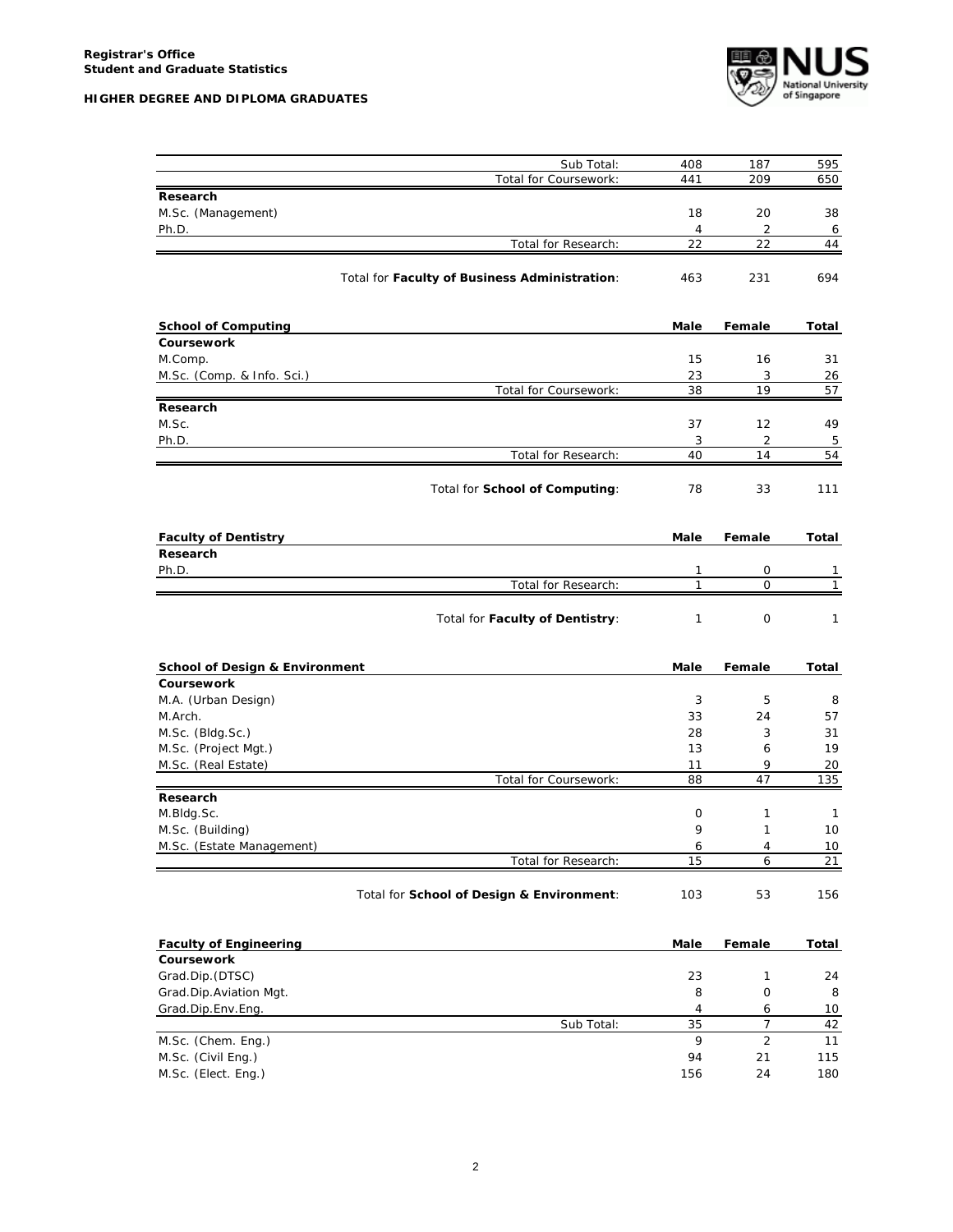

| Sub Total:                                    | 408            | 187              | 595          |
|-----------------------------------------------|----------------|------------------|--------------|
| Total for Coursework:                         | 441            | 209              | 650          |
| Research                                      |                |                  |              |
| M.Sc. (Management)                            | 18             | 20               | 38           |
| Ph.D.                                         | $\overline{4}$ | $\overline{2}$   | 6            |
| Total for Research:                           | 22             | 22               | 44           |
|                                               |                |                  |              |
| Total for Faculty of Business Administration: | 463            | 231              | 694          |
| <b>School of Computing</b>                    | Male           | Female           | Total        |
| <b>Coursework</b>                             |                |                  |              |
| M.Comp.                                       | 15             | 16               | 31           |
| M.Sc. (Comp. & Info. Sci.)                    | 23             | 3                | 26           |
| Total for Coursework:                         | 38             | 19               | 57           |
| Research                                      |                |                  |              |
| M.Sc.                                         | 37             | 12               | 49           |
| Ph.D.                                         | 3              | $\overline{2}$   | 5            |
| Total for Research:                           | 40             | 14               | 54           |
| Total for School of Computing:                | 78             | 33               | 111          |
|                                               |                |                  |              |
| <b>Faculty of Dentistry</b>                   | Male           | Female           | Total        |
| Research                                      |                |                  |              |
| Ph.D.<br>Total for Research:                  | 1<br>1         | 0<br>$\mathbf 0$ | 1<br>1       |
|                                               |                |                  |              |
| Total for Faculty of Dentistry:               | 1              | $\mathbf 0$      | 1            |
| <b>School of Design &amp; Environment</b>     | Male           | Female           | Total        |
| Coursework                                    |                |                  |              |
| M.A. (Urban Design)                           | 3              | 5                | 8            |
| M.Arch.                                       | 33             | 24               | 57           |
| M.Sc. (Bldg.Sc.)                              | 28             | 3                | 31           |
| M.Sc. (Project Mgt.)                          | 13             | 6                | 19           |
| M.Sc. (Real Estate)                           | 11             | 9                | 20           |
| Total for Coursework:                         | 88             | 47               | 135          |
| Research                                      |                |                  |              |
| M.Bldg.Sc.                                    | 0              | 1                | $\mathbf{1}$ |
| M.Sc. (Building)                              | 9              | 1                | 10           |
| M.Sc. (Estate Management)                     | 6              | $\overline{4}$   | 10           |
| Total for Research:                           | 15             | 6                | 21           |
| Total for School of Design & Environment:     | 103            | 53               | 156          |
| <b>Faculty of Engineering</b>                 |                |                  |              |
| Coursework                                    | Male           | Female           | <b>Total</b> |
| Grad.Dip.(DTSC)                               | 23             | 1                | 24           |
| Grad.Dip.Aviation Mgt.                        | 8              | $\mathsf O$      | 8            |
| Grad.Dip.Env.Eng.                             | 4              | 6                | 10           |
| Sub Total:                                    | 35             | 7                | 42           |
| M.Sc. (Chem. Eng.)                            | 9              | $\overline{2}$   | 11           |
| M.Sc. (Civil Eng.)                            | 94             | 21               | 115          |
| M.Sc. (Elect. Eng.)                           | 156            | 24               | 180          |
|                                               |                |                  |              |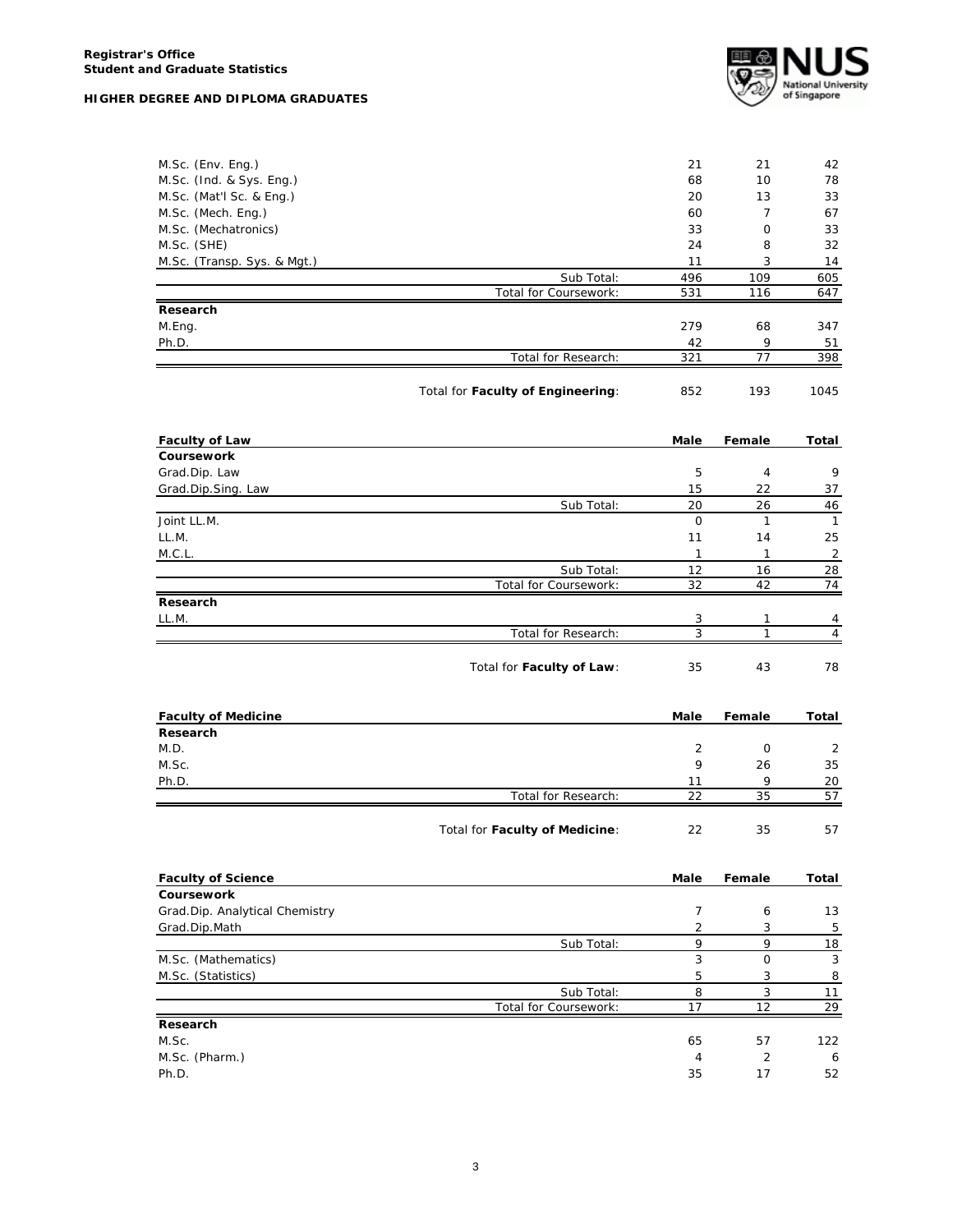|  |  | HIGHER DEGREE AND DIPLOMA GRADUATES |
|--|--|-------------------------------------|
|  |  |                                     |



| M.Sc. (Env. Eng.)              |                                   | 21             | 21                | 42                  |
|--------------------------------|-----------------------------------|----------------|-------------------|---------------------|
| M.Sc. (Ind. & Sys. Eng.)       |                                   | 68             | 10                | 78                  |
| M.Sc. (Mat'l Sc. & Eng.)       |                                   | 20             | 13                | 33                  |
| M.Sc. (Mech. Eng.)             |                                   | 60             | $\overline{7}$    | 67                  |
| M.Sc. (Mechatronics)           |                                   | 33             | 0                 | 33                  |
| M.Sc. (SHE)                    |                                   | 24             | 8                 | 32                  |
| M.Sc. (Transp. Sys. & Mgt.)    |                                   | 11             | 3                 | 14                  |
|                                | Sub Total:                        | 496            | 109               | 605                 |
|                                | Total for Coursework:             | 531            | 116               | 647                 |
| Research                       |                                   |                |                   |                     |
| M.Eng.                         |                                   | 279            | 68                | 347                 |
|                                |                                   |                | 9                 |                     |
| Ph.D.                          | Total for Research:               | 42<br>321      | 77                | 51<br>398           |
|                                |                                   |                |                   |                     |
|                                | Total for Faculty of Engineering: | 852            | 193               | 1045                |
| <b>Faculty of Law</b>          |                                   | Male           | Female            | Total               |
| Coursework                     |                                   |                |                   |                     |
| Grad.Dip. Law                  |                                   | 5              | 4                 | 9                   |
| Grad.Dip.Sing. Law             |                                   | 15             | 22                | 37                  |
|                                | Sub Total:                        | 20             | 26                | 46                  |
| Joint LL.M.                    |                                   | 0              | $\mathbf{1}$      | $\mathbf{1}$        |
| LL.M.                          |                                   | 11             | 14                | 25                  |
| M.C.L.                         |                                   | $\mathbf{1}$   | $\mathbf{1}$      | 2                   |
|                                | Sub Total:                        |                |                   |                     |
|                                | Total for Coursework:             | 12<br>32       | 16<br>42          | 28<br>74            |
|                                |                                   |                |                   |                     |
| Research                       |                                   |                |                   |                     |
| LL.M.                          |                                   | 3<br>3         | 1<br>$\mathbf{1}$ | 4<br>$\overline{4}$ |
|                                | Total for Research:               |                |                   |                     |
|                                | Total for Faculty of Law:         | 35             | 43                | 78                  |
| <b>Faculty of Medicine</b>     |                                   | Male           | Female            | Total               |
| Research                       |                                   |                |                   |                     |
| M.D.                           |                                   | 2              | 0                 | 2                   |
| M.Sc.                          |                                   | 9              | 26                | 35                  |
| Ph.D.                          |                                   | 11             | 9                 | 20                  |
|                                | Total for Research:               | 22             | 35                | 57                  |
|                                | Total for Faculty of Medicine:    | 22             | 35                | 57                  |
| <b>Faculty of Science</b>      |                                   | Male           | Female            | Total               |
| Coursework                     |                                   |                |                   |                     |
| Grad.Dip. Analytical Chemistry |                                   | 7              | 6                 | 13                  |
| Grad.Dip.Math                  |                                   | $\overline{2}$ | 3                 | 5                   |
|                                | Sub Total:                        | 9              | 9                 | 18                  |
| M.Sc. (Mathematics)            |                                   | 3              | 0                 | 3                   |
|                                |                                   |                |                   |                     |
| M.Sc. (Statistics)             |                                   | 5              | 3                 | 8                   |
|                                | Sub Total:                        | 8              | 3                 | 11                  |
|                                | Total for Coursework:             | 17             | 12                | 29                  |
| Research                       |                                   |                |                   |                     |
| M.Sc.                          |                                   | 65             | 57                | 122                 |
| M.Sc. (Pharm.)                 |                                   | 4              | 2                 | 6                   |
| Ph.D.                          |                                   | 35             | 17                | 52                  |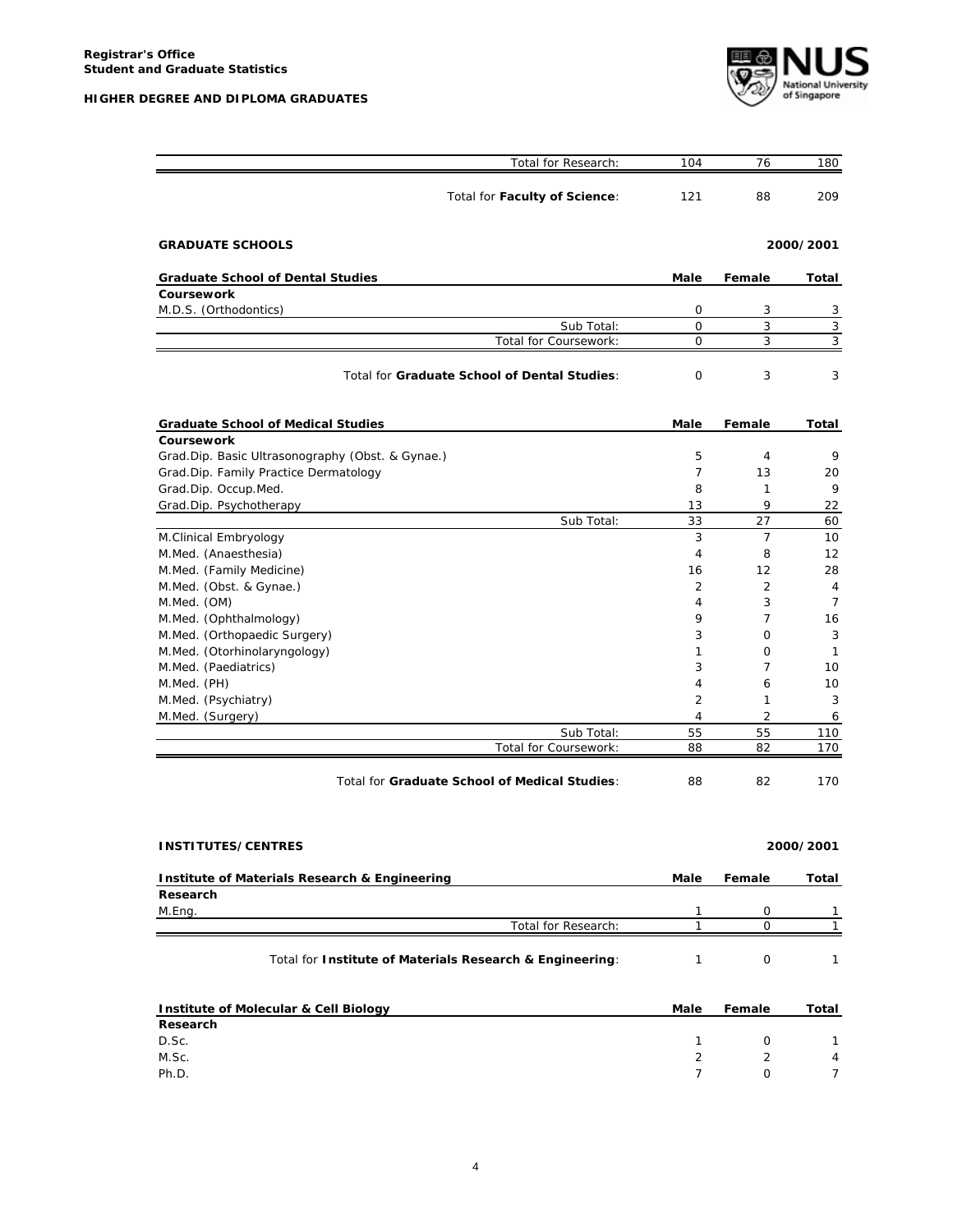**HIGHER DEGREE AND DIPLOMA GRADUATES**



| Total for Research:                                      | 104          | 76             | 180          |
|----------------------------------------------------------|--------------|----------------|--------------|
| Total for Faculty of Science:                            | 121          | 88             | 209          |
| <b>GRADUATE SCHOOLS</b>                                  |              |                | 2000/2001    |
| <b>Graduate School of Dental Studies</b>                 | Male         | Female         | Total        |
| Coursework                                               |              |                |              |
| M.D.S. (Orthodontics)                                    | 0            | 3              | 3            |
| Sub Total:                                               | $\mathbf 0$  | 3              | 3            |
| Total for Coursework:                                    | 0            | 3              | 3            |
| Total for Graduate School of Dental Studies:             | 0            | 3              | 3            |
| <b>Graduate School of Medical Studies</b>                | Male         | Female         | Total        |
| Coursework                                               |              |                |              |
| Grad.Dip. Basic Ultrasonography (Obst. & Gynae.)         | 5            | 4              | 9            |
| Grad.Dip. Family Practice Dermatology                    | 7            | 13             | 20           |
| Grad.Dip. Occup.Med.                                     | 8            | 1              | 9            |
| Grad.Dip. Psychotherapy                                  | 13           | 9              | 22           |
| Sub Total:                                               | 33           | 27             | 60           |
| M.Clinical Embryology                                    | 3            | 7              | 10           |
| M.Med. (Anaesthesia)                                     | 4            | 8              | 12           |
| M.Med. (Family Medicine)                                 | 16           | 12             | 28           |
| M.Med. (Obst. & Gynae.)                                  | 2            | $\overline{2}$ | 4            |
| M.Med. (OM)                                              | 4            | 3              | 7            |
| M.Med. (Ophthalmology)                                   | 9            | 7              | 16           |
| M.Med. (Orthopaedic Surgery)                             | 3            | 0              | 3            |
| M.Med. (Otorhinolaryngology)                             | 1            | 0              | 1            |
| M.Med. (Paediatrics)                                     | 3            | 7              | 10           |
| M.Med. (PH)                                              | 4            | 6              | 10           |
| M.Med. (Psychiatry)                                      | 2            | 1              | 3            |
| M.Med. (Surgery)                                         | 4            | $\overline{2}$ | 6            |
| Sub Total:                                               | 55           | 55             | 110          |
| Total for Coursework:                                    | 88           | 82             | 170          |
| Total for Graduate School of Medical Studies:            | 88           | 82             | 170          |
| <b>INSTITUTES/CENTRES</b>                                |              |                | 2000/2001    |
|                                                          |              |                |              |
| Institute of Materials Research & Engineering            | Male         | Female         | Total        |
| Research                                                 |              |                |              |
| M.Eng.                                                   | 1            | 0              | 1            |
| Total for Research:                                      | $\mathbf{1}$ | $\Omega$       | $\mathbf{1}$ |
| Total for Institute of Materials Research & Engineering: | 1            | 0              | 1            |
| <b>Institute of Molecular &amp; Cell Biology</b>         | Male         | Female         | Total        |

| Research |  |                |
|----------|--|----------------|
| D.Sc.    |  | $\mathbf{1}$   |
| M.Sc.    |  | $\overline{4}$ |
| Ph.D.    |  | $\overline{7}$ |